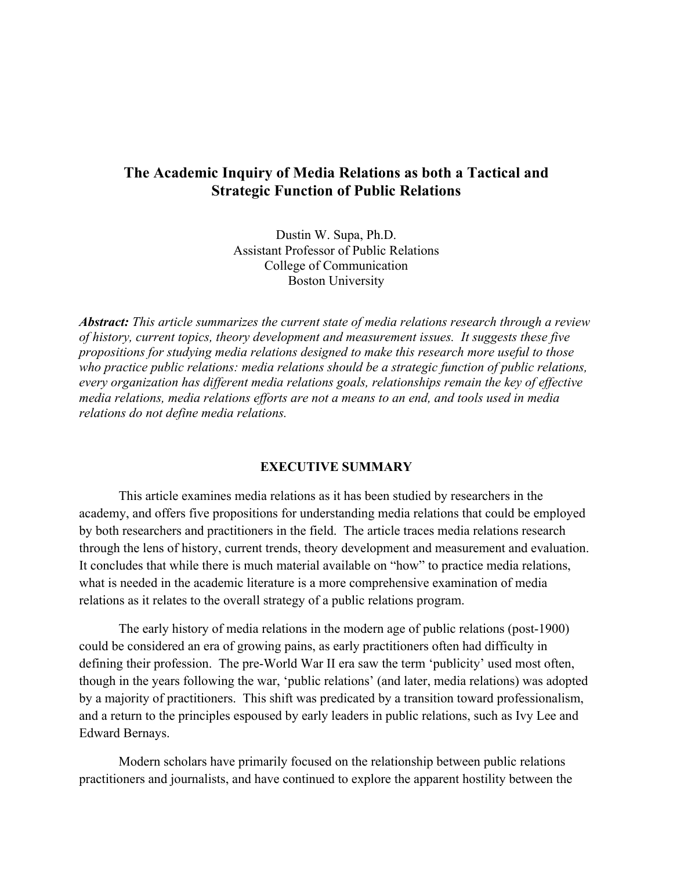### **The Academic Inquiry of Media Relations as both a Tactical and Strategic Function of Public Relations**

Dustin W. Supa, Ph.D. Assistant Professor of Public Relations College of Communication Boston University

*Abstract: This article summarizes the current state of media relations research through a review of history, current topics, theory development and measurement issues. It suggests these five propositions for studying media relations designed to make this research more useful to those who practice public relations: media relations should be a strategic function of public relations, every organization has different media relations goals, relationships remain the key of effective media relations, media relations efforts are not a means to an end, and tools used in media relations do not define media relations.*

#### **EXECUTIVE SUMMARY**

This article examines media relations as it has been studied by researchers in the academy, and offers five propositions for understanding media relations that could be employed by both researchers and practitioners in the field. The article traces media relations research through the lens of history, current trends, theory development and measurement and evaluation. It concludes that while there is much material available on "how" to practice media relations, what is needed in the academic literature is a more comprehensive examination of media relations as it relates to the overall strategy of a public relations program.

The early history of media relations in the modern age of public relations (post-1900) could be considered an era of growing pains, as early practitioners often had difficulty in defining their profession. The pre-World War II era saw the term 'publicity' used most often, though in the years following the war, 'public relations' (and later, media relations) was adopted by a majority of practitioners. This shift was predicated by a transition toward professionalism, and a return to the principles espoused by early leaders in public relations, such as Ivy Lee and Edward Bernays.

Modern scholars have primarily focused on the relationship between public relations practitioners and journalists, and have continued to explore the apparent hostility between the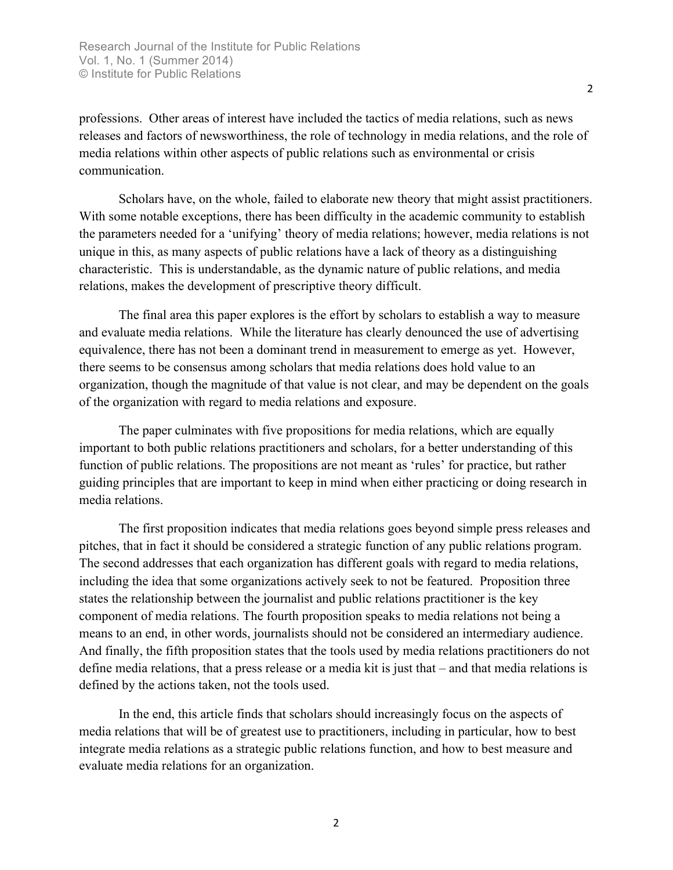professions. Other areas of interest have included the tactics of media relations, such as news releases and factors of newsworthiness, the role of technology in media relations, and the role of media relations within other aspects of public relations such as environmental or crisis communication.

Scholars have, on the whole, failed to elaborate new theory that might assist practitioners. With some notable exceptions, there has been difficulty in the academic community to establish the parameters needed for a 'unifying' theory of media relations; however, media relations is not unique in this, as many aspects of public relations have a lack of theory as a distinguishing characteristic. This is understandable, as the dynamic nature of public relations, and media relations, makes the development of prescriptive theory difficult.

The final area this paper explores is the effort by scholars to establish a way to measure and evaluate media relations. While the literature has clearly denounced the use of advertising equivalence, there has not been a dominant trend in measurement to emerge as yet. However, there seems to be consensus among scholars that media relations does hold value to an organization, though the magnitude of that value is not clear, and may be dependent on the goals of the organization with regard to media relations and exposure.

The paper culminates with five propositions for media relations, which are equally important to both public relations practitioners and scholars, for a better understanding of this function of public relations. The propositions are not meant as 'rules' for practice, but rather guiding principles that are important to keep in mind when either practicing or doing research in media relations.

The first proposition indicates that media relations goes beyond simple press releases and pitches, that in fact it should be considered a strategic function of any public relations program. The second addresses that each organization has different goals with regard to media relations, including the idea that some organizations actively seek to not be featured. Proposition three states the relationship between the journalist and public relations practitioner is the key component of media relations. The fourth proposition speaks to media relations not being a means to an end, in other words, journalists should not be considered an intermediary audience. And finally, the fifth proposition states that the tools used by media relations practitioners do not define media relations, that a press release or a media kit is just that – and that media relations is defined by the actions taken, not the tools used.

In the end, this article finds that scholars should increasingly focus on the aspects of media relations that will be of greatest use to practitioners, including in particular, how to best integrate media relations as a strategic public relations function, and how to best measure and evaluate media relations for an organization.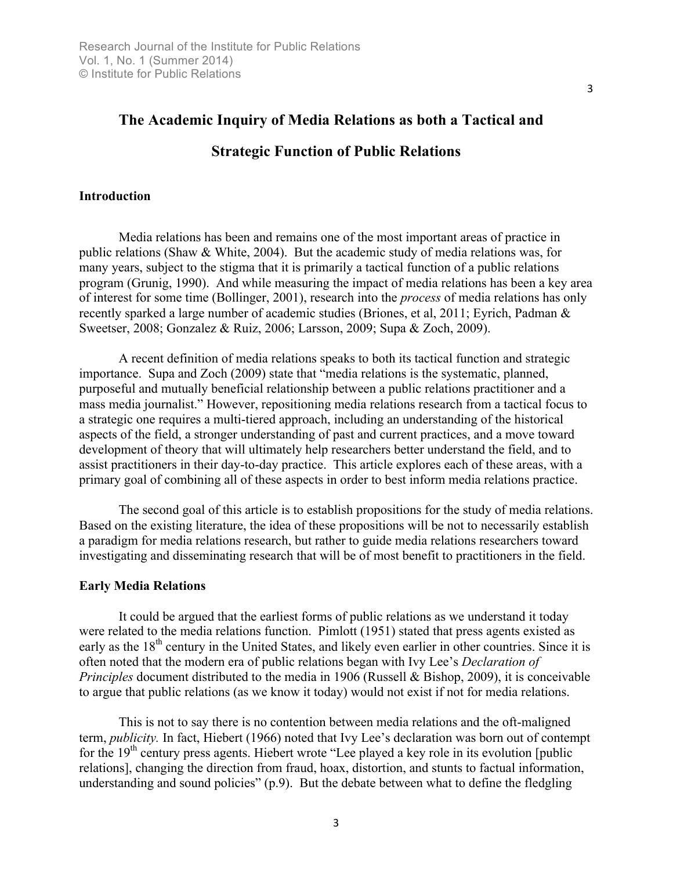# **The Academic Inquiry of Media Relations as both a Tactical and**

## **Strategic Function of Public Relations**

#### **Introduction**

Media relations has been and remains one of the most important areas of practice in public relations (Shaw & White, 2004). But the academic study of media relations was, for many years, subject to the stigma that it is primarily a tactical function of a public relations program (Grunig, 1990). And while measuring the impact of media relations has been a key area of interest for some time (Bollinger, 2001), research into the *process* of media relations has only recently sparked a large number of academic studies (Briones, et al, 2011; Eyrich, Padman & Sweetser, 2008; Gonzalez & Ruiz, 2006; Larsson, 2009; Supa & Zoch, 2009).

A recent definition of media relations speaks to both its tactical function and strategic importance. Supa and Zoch (2009) state that "media relations is the systematic, planned, purposeful and mutually beneficial relationship between a public relations practitioner and a mass media journalist." However, repositioning media relations research from a tactical focus to a strategic one requires a multi-tiered approach, including an understanding of the historical aspects of the field, a stronger understanding of past and current practices, and a move toward development of theory that will ultimately help researchers better understand the field, and to assist practitioners in their day-to-day practice. This article explores each of these areas, with a primary goal of combining all of these aspects in order to best inform media relations practice.

The second goal of this article is to establish propositions for the study of media relations. Based on the existing literature, the idea of these propositions will be not to necessarily establish a paradigm for media relations research, but rather to guide media relations researchers toward investigating and disseminating research that will be of most benefit to practitioners in the field.

#### **Early Media Relations**

It could be argued that the earliest forms of public relations as we understand it today were related to the media relations function. Pimlott (1951) stated that press agents existed as early as the 18<sup>th</sup> century in the United States, and likely even earlier in other countries. Since it is often noted that the modern era of public relations began with Ivy Lee's *Declaration of Principles* document distributed to the media in 1906 (Russell & Bishop, 2009), it is conceivable to argue that public relations (as we know it today) would not exist if not for media relations.

This is not to say there is no contention between media relations and the oft-maligned term, *publicity.* In fact, Hiebert (1966) noted that Ivy Lee's declaration was born out of contempt for the  $19<sup>th</sup>$  century press agents. Hiebert wrote "Lee played a key role in its evolution [public relations], changing the direction from fraud, hoax, distortion, and stunts to factual information, understanding and sound policies" (p.9). But the debate between what to define the fledgling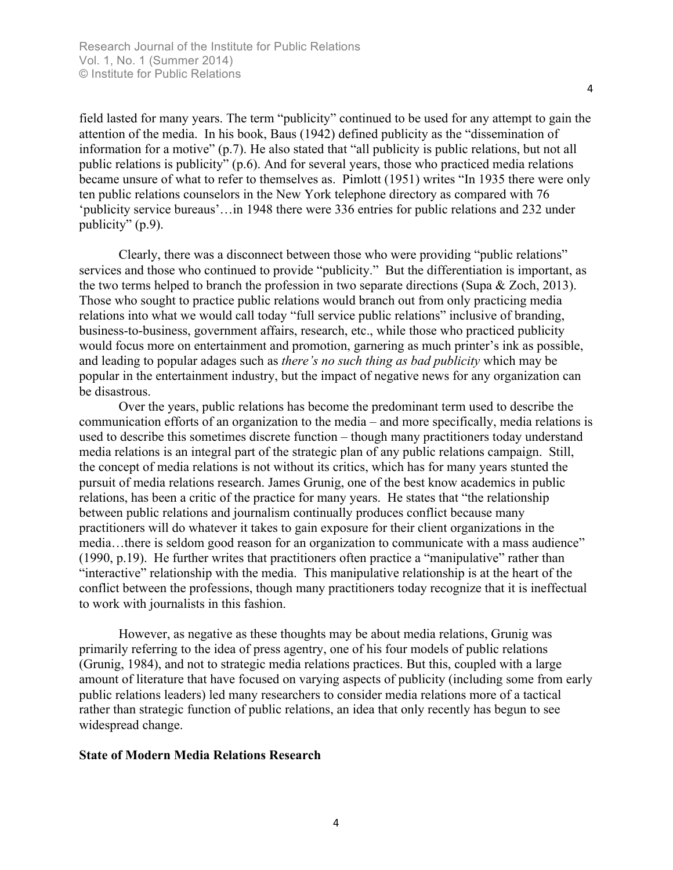field lasted for many years. The term "publicity" continued to be used for any attempt to gain the attention of the media. In his book, Baus (1942) defined publicity as the "dissemination of information for a motive" (p.7). He also stated that "all publicity is public relations, but not all public relations is publicity" (p.6). And for several years, those who practiced media relations became unsure of what to refer to themselves as. Pimlott (1951) writes "In 1935 there were only ten public relations counselors in the New York telephone directory as compared with 76 'publicity service bureaus'…in 1948 there were 336 entries for public relations and 232 under publicity" (p.9).

Clearly, there was a disconnect between those who were providing "public relations" services and those who continued to provide "publicity." But the differentiation is important, as the two terms helped to branch the profession in two separate directions (Supa & Zoch, 2013). Those who sought to practice public relations would branch out from only practicing media relations into what we would call today "full service public relations" inclusive of branding, business-to-business, government affairs, research, etc., while those who practiced publicity would focus more on entertainment and promotion, garnering as much printer's ink as possible, and leading to popular adages such as *there's no such thing as bad publicity* which may be popular in the entertainment industry, but the impact of negative news for any organization can be disastrous.

Over the years, public relations has become the predominant term used to describe the communication efforts of an organization to the media – and more specifically, media relations is used to describe this sometimes discrete function – though many practitioners today understand media relations is an integral part of the strategic plan of any public relations campaign. Still, the concept of media relations is not without its critics, which has for many years stunted the pursuit of media relations research. James Grunig, one of the best know academics in public relations, has been a critic of the practice for many years. He states that "the relationship between public relations and journalism continually produces conflict because many practitioners will do whatever it takes to gain exposure for their client organizations in the media…there is seldom good reason for an organization to communicate with a mass audience" (1990, p.19). He further writes that practitioners often practice a "manipulative" rather than "interactive" relationship with the media. This manipulative relationship is at the heart of the conflict between the professions, though many practitioners today recognize that it is ineffectual to work with journalists in this fashion.

However, as negative as these thoughts may be about media relations, Grunig was primarily referring to the idea of press agentry, one of his four models of public relations (Grunig, 1984), and not to strategic media relations practices. But this, coupled with a large amount of literature that have focused on varying aspects of publicity (including some from early public relations leaders) led many researchers to consider media relations more of a tactical rather than strategic function of public relations, an idea that only recently has begun to see widespread change.

#### **State of Modern Media Relations Research**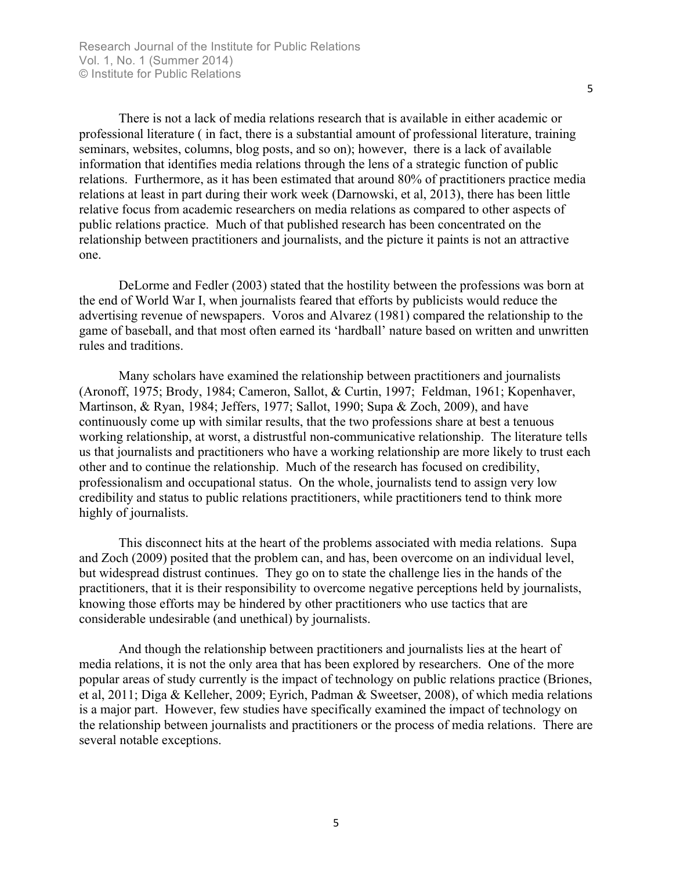There is not a lack of media relations research that is available in either academic or professional literature ( in fact, there is a substantial amount of professional literature, training seminars, websites, columns, blog posts, and so on); however, there is a lack of available information that identifies media relations through the lens of a strategic function of public relations. Furthermore, as it has been estimated that around 80% of practitioners practice media relations at least in part during their work week (Darnowski, et al, 2013), there has been little relative focus from academic researchers on media relations as compared to other aspects of public relations practice. Much of that published research has been concentrated on the relationship between practitioners and journalists, and the picture it paints is not an attractive one.

DeLorme and Fedler (2003) stated that the hostility between the professions was born at the end of World War I, when journalists feared that efforts by publicists would reduce the advertising revenue of newspapers. Voros and Alvarez (1981) compared the relationship to the game of baseball, and that most often earned its 'hardball' nature based on written and unwritten rules and traditions.

Many scholars have examined the relationship between practitioners and journalists (Aronoff, 1975; Brody, 1984; Cameron, Sallot, & Curtin, 1997; Feldman, 1961; Kopenhaver, Martinson, & Ryan, 1984; Jeffers, 1977; Sallot, 1990; Supa & Zoch, 2009), and have continuously come up with similar results, that the two professions share at best a tenuous working relationship, at worst, a distrustful non-communicative relationship. The literature tells us that journalists and practitioners who have a working relationship are more likely to trust each other and to continue the relationship. Much of the research has focused on credibility, professionalism and occupational status. On the whole, journalists tend to assign very low credibility and status to public relations practitioners, while practitioners tend to think more highly of journalists.

This disconnect hits at the heart of the problems associated with media relations. Supa and Zoch (2009) posited that the problem can, and has, been overcome on an individual level, but widespread distrust continues. They go on to state the challenge lies in the hands of the practitioners, that it is their responsibility to overcome negative perceptions held by journalists, knowing those efforts may be hindered by other practitioners who use tactics that are considerable undesirable (and unethical) by journalists.

And though the relationship between practitioners and journalists lies at the heart of media relations, it is not the only area that has been explored by researchers. One of the more popular areas of study currently is the impact of technology on public relations practice (Briones, et al, 2011; Diga & Kelleher, 2009; Eyrich, Padman & Sweetser, 2008), of which media relations is a major part. However, few studies have specifically examined the impact of technology on the relationship between journalists and practitioners or the process of media relations. There are several notable exceptions.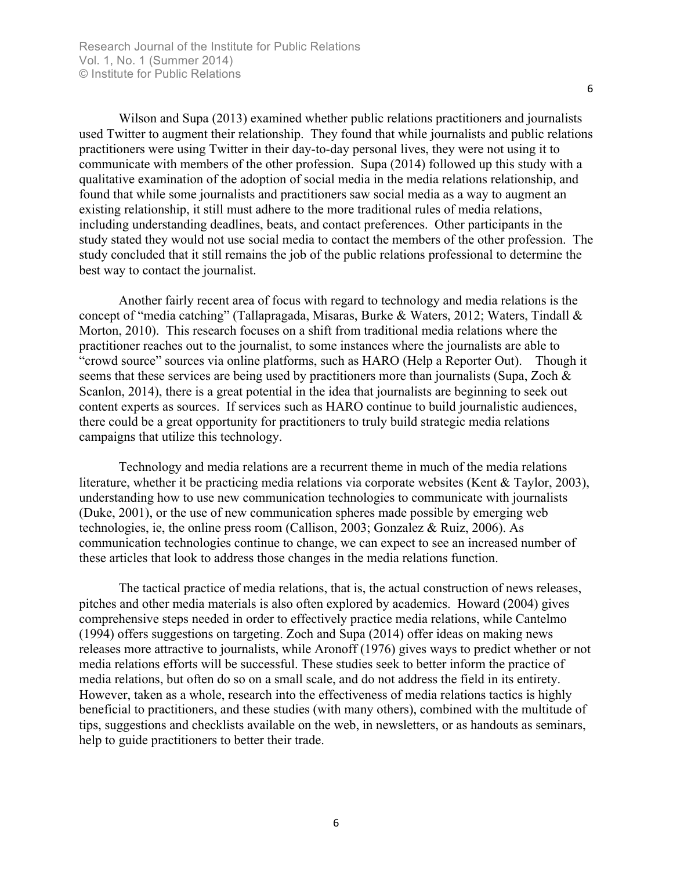Wilson and Supa (2013) examined whether public relations practitioners and journalists used Twitter to augment their relationship. They found that while journalists and public relations practitioners were using Twitter in their day-to-day personal lives, they were not using it to communicate with members of the other profession. Supa (2014) followed up this study with a qualitative examination of the adoption of social media in the media relations relationship, and found that while some journalists and practitioners saw social media as a way to augment an existing relationship, it still must adhere to the more traditional rules of media relations, including understanding deadlines, beats, and contact preferences. Other participants in the study stated they would not use social media to contact the members of the other profession. The study concluded that it still remains the job of the public relations professional to determine the best way to contact the journalist.

Another fairly recent area of focus with regard to technology and media relations is the concept of "media catching" (Tallapragada, Misaras, Burke & Waters, 2012; Waters, Tindall & Morton, 2010). This research focuses on a shift from traditional media relations where the practitioner reaches out to the journalist, to some instances where the journalists are able to "crowd source" sources via online platforms, such as HARO (Help a Reporter Out). Though it seems that these services are being used by practitioners more than journalists (Supa, Zoch & Scanlon, 2014), there is a great potential in the idea that journalists are beginning to seek out content experts as sources. If services such as HARO continue to build journalistic audiences, there could be a great opportunity for practitioners to truly build strategic media relations campaigns that utilize this technology.

Technology and media relations are a recurrent theme in much of the media relations literature, whether it be practicing media relations via corporate websites (Kent & Taylor, 2003), understanding how to use new communication technologies to communicate with journalists (Duke, 2001), or the use of new communication spheres made possible by emerging web technologies, ie, the online press room (Callison, 2003; Gonzalez & Ruiz, 2006). As communication technologies continue to change, we can expect to see an increased number of these articles that look to address those changes in the media relations function.

The tactical practice of media relations, that is, the actual construction of news releases, pitches and other media materials is also often explored by academics. Howard (2004) gives comprehensive steps needed in order to effectively practice media relations, while Cantelmo (1994) offers suggestions on targeting. Zoch and Supa (2014) offer ideas on making news releases more attractive to journalists, while Aronoff (1976) gives ways to predict whether or not media relations efforts will be successful. These studies seek to better inform the practice of media relations, but often do so on a small scale, and do not address the field in its entirety. However, taken as a whole, research into the effectiveness of media relations tactics is highly beneficial to practitioners, and these studies (with many others), combined with the multitude of tips, suggestions and checklists available on the web, in newsletters, or as handouts as seminars, help to guide practitioners to better their trade.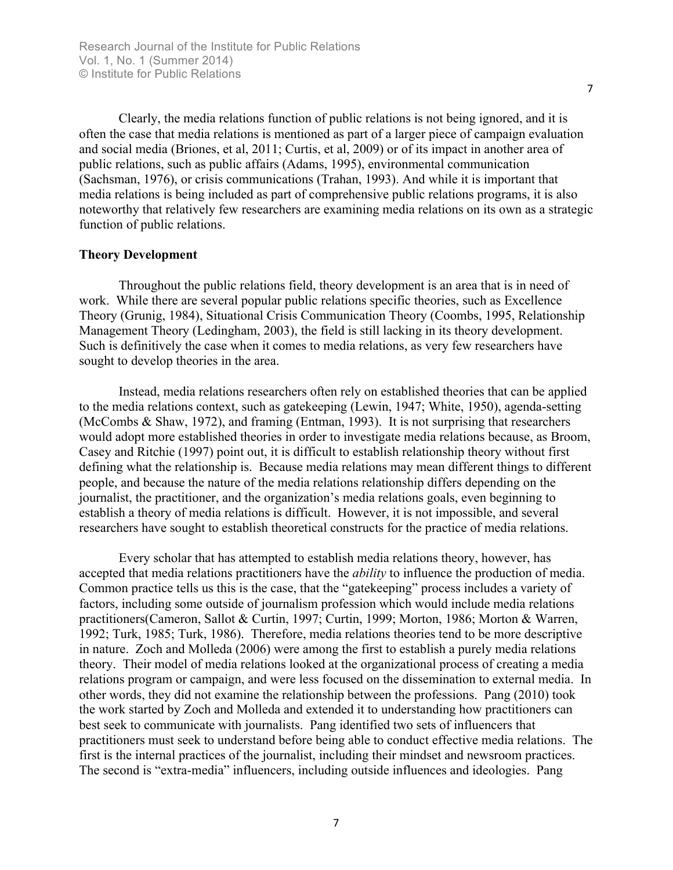Clearly, the media relations function of public relations is not being ignored, and it is often the case that media relations is mentioned as part of a larger piece of campaign evaluation and social media (Briones, et al, 2011; Curtis, et al, 2009) or of its impact in another area of public relations, such as public affairs (Adams, 1995), environmental communication (Sachsman, 1976), or crisis communications (Trahan, 1993). And while it is important that media relations is being included as part of comprehensive public relations programs, it is also noteworthy that relatively few researchers are examining media relations on its own as a strategic function of public relations.

#### **Theory Development**

Throughout the public relations field, theory development is an area that is in need of work. While there are several popular public relations specific theories, such as Excellence Theory (Grunig, 1984), Situational Crisis Communication Theory (Coombs, 1995, Relationship Management Theory (Ledingham, 2003), the field is still lacking in its theory development. Such is definitively the case when it comes to media relations, as very few researchers have sought to develop theories in the area.

Instead, media relations researchers often rely on established theories that can be applied to the media relations context, such as gatekeeping (Lewin, 1947; White, 1950), agenda-setting (McCombs & Shaw, 1972), and framing (Entman, 1993). It is not surprising that researchers would adopt more established theories in order to investigate media relations because, as Broom, Casey and Ritchie (1997) point out, it is difficult to establish relationship theory without first defining what the relationship is. Because media relations may mean different things to different people, and because the nature of the media relations relationship differs depending on the journalist, the practitioner, and the organization's media relations goals, even beginning to establish a theory of media relations is difficult. However, it is not impossible, and several researchers have sought to establish theoretical constructs for the practice of media relations.

Every scholar that has attempted to establish media relations theory, however, has accepted that media relations practitioners have the *ability* to influence the production of media. Common practice tells us this is the case, that the "gatekeeping" process includes a variety of factors, including some outside of journalism profession which would include media relations practitioners(Cameron, Sallot & Curtin, 1997; Curtin, 1999; Morton, 1986; Morton & Warren, 1992; Turk, 1985; Turk, 1986). Therefore, media relations theories tend to be more descriptive in nature. Zoch and Molleda (2006) were among the first to establish a purely media relations theory. Their model of media relations looked at the organizational process of creating a media relations program or campaign, and were less focused on the dissemination to external media. In other words, they did not examine the relationship between the professions. Pang (2010) took the work started by Zoch and Molleda and extended it to understanding how practitioners can best seek to communicate with journalists. Pang identified two sets of influencers that practitioners must seek to understand before being able to conduct effective media relations. The first is the internal practices of the journalist, including their mindset and newsroom practices. The second is "extra-media" influencers, including outside influences and ideologies. Pang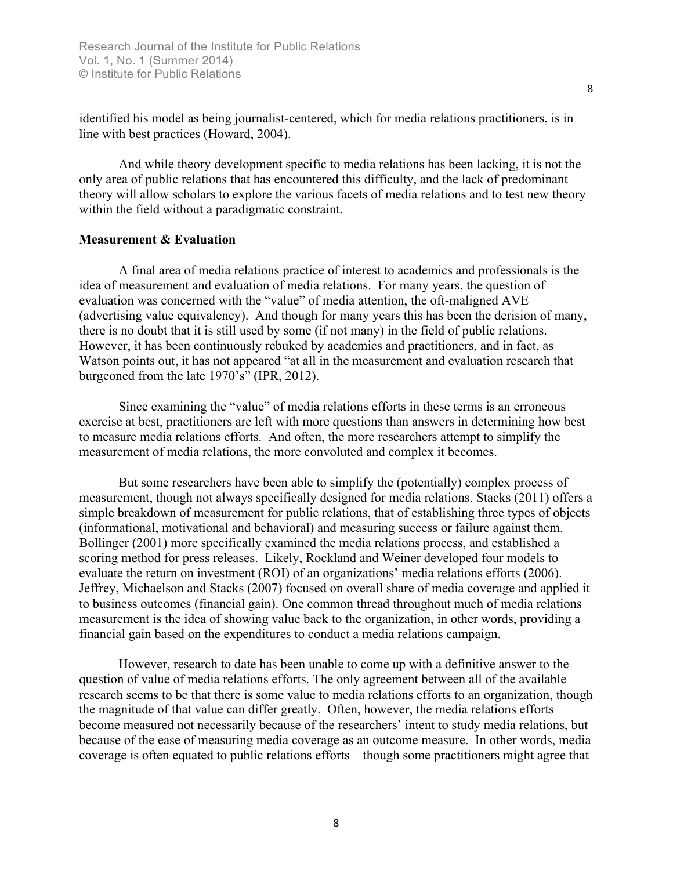identified his model as being journalist-centered, which for media relations practitioners, is in line with best practices (Howard, 2004).

And while theory development specific to media relations has been lacking, it is not the only area of public relations that has encountered this difficulty, and the lack of predominant theory will allow scholars to explore the various facets of media relations and to test new theory within the field without a paradigmatic constraint.

#### **Measurement & Evaluation**

A final area of media relations practice of interest to academics and professionals is the idea of measurement and evaluation of media relations. For many years, the question of evaluation was concerned with the "value" of media attention, the oft-maligned AVE (advertising value equivalency). And though for many years this has been the derision of many, there is no doubt that it is still used by some (if not many) in the field of public relations. However, it has been continuously rebuked by academics and practitioners, and in fact, as Watson points out, it has not appeared "at all in the measurement and evaluation research that burgeoned from the late 1970's" (IPR, 2012).

Since examining the "value" of media relations efforts in these terms is an erroneous exercise at best, practitioners are left with more questions than answers in determining how best to measure media relations efforts. And often, the more researchers attempt to simplify the measurement of media relations, the more convoluted and complex it becomes.

But some researchers have been able to simplify the (potentially) complex process of measurement, though not always specifically designed for media relations. Stacks (2011) offers a simple breakdown of measurement for public relations, that of establishing three types of objects (informational, motivational and behavioral) and measuring success or failure against them. Bollinger (2001) more specifically examined the media relations process, and established a scoring method for press releases. Likely, Rockland and Weiner developed four models to evaluate the return on investment (ROI) of an organizations' media relations efforts (2006). Jeffrey, Michaelson and Stacks (2007) focused on overall share of media coverage and applied it to business outcomes (financial gain). One common thread throughout much of media relations measurement is the idea of showing value back to the organization, in other words, providing a financial gain based on the expenditures to conduct a media relations campaign.

However, research to date has been unable to come up with a definitive answer to the question of value of media relations efforts. The only agreement between all of the available research seems to be that there is some value to media relations efforts to an organization, though the magnitude of that value can differ greatly. Often, however, the media relations efforts become measured not necessarily because of the researchers' intent to study media relations, but because of the ease of measuring media coverage as an outcome measure. In other words, media coverage is often equated to public relations efforts – though some practitioners might agree that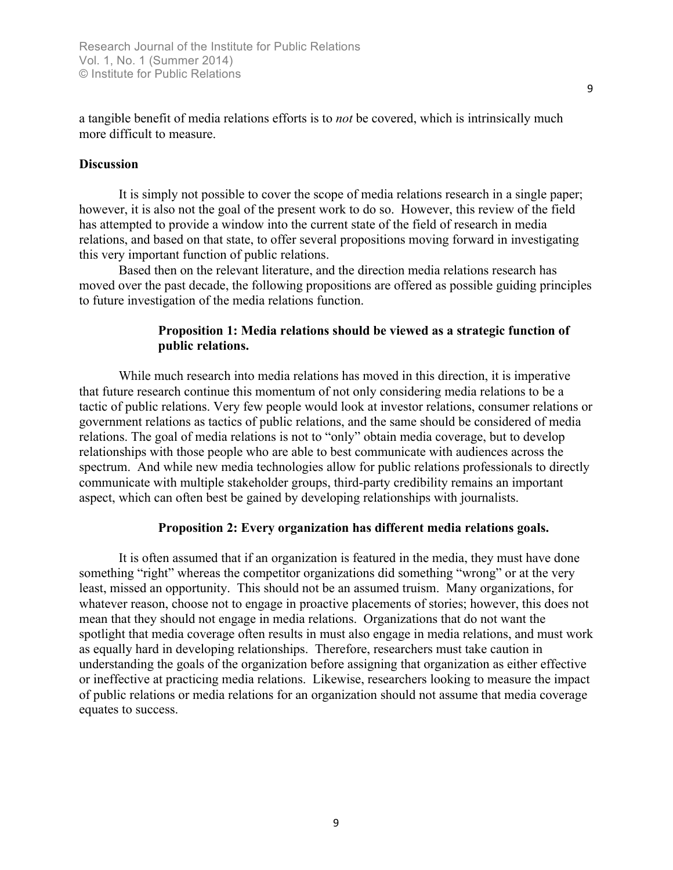a tangible benefit of media relations efforts is to *not* be covered, which is intrinsically much more difficult to measure.

#### **Discussion**

It is simply not possible to cover the scope of media relations research in a single paper; however, it is also not the goal of the present work to do so. However, this review of the field has attempted to provide a window into the current state of the field of research in media relations, and based on that state, to offer several propositions moving forward in investigating this very important function of public relations.

Based then on the relevant literature, and the direction media relations research has moved over the past decade, the following propositions are offered as possible guiding principles to future investigation of the media relations function.

#### **Proposition 1: Media relations should be viewed as a strategic function of public relations.**

While much research into media relations has moved in this direction, it is imperative that future research continue this momentum of not only considering media relations to be a tactic of public relations. Very few people would look at investor relations, consumer relations or government relations as tactics of public relations, and the same should be considered of media relations. The goal of media relations is not to "only" obtain media coverage, but to develop relationships with those people who are able to best communicate with audiences across the spectrum. And while new media technologies allow for public relations professionals to directly communicate with multiple stakeholder groups, third-party credibility remains an important aspect, which can often best be gained by developing relationships with journalists.

#### **Proposition 2: Every organization has different media relations goals.**

It is often assumed that if an organization is featured in the media, they must have done something "right" whereas the competitor organizations did something "wrong" or at the very least, missed an opportunity. This should not be an assumed truism. Many organizations, for whatever reason, choose not to engage in proactive placements of stories; however, this does not mean that they should not engage in media relations. Organizations that do not want the spotlight that media coverage often results in must also engage in media relations, and must work as equally hard in developing relationships. Therefore, researchers must take caution in understanding the goals of the organization before assigning that organization as either effective or ineffective at practicing media relations. Likewise, researchers looking to measure the impact of public relations or media relations for an organization should not assume that media coverage equates to success.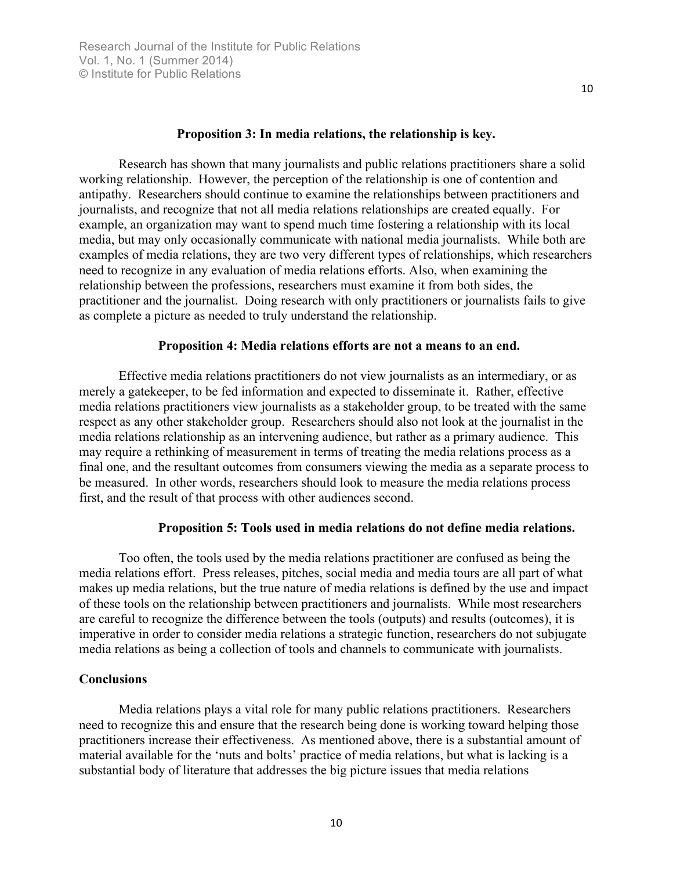#### **Proposition 3: In media relations, the relationship is key.**

Research has shown that many journalists and public relations practitioners share a solid working relationship. However, the perception of the relationship is one of contention and antipathy. Researchers should continue to examine the relationships between practitioners and journalists, and recognize that not all media relations relationships are created equally. For example, an organization may want to spend much time fostering a relationship with its local media, but may only occasionally communicate with national media journalists. While both are examples of media relations, they are two very different types of relationships, which researchers need to recognize in any evaluation of media relations efforts. Also, when examining the relationship between the professions, researchers must examine it from both sides, the practitioner and the journalist. Doing research with only practitioners or journalists fails to give as complete a picture as needed to truly understand the relationship.

#### **Proposition 4: Media relations efforts are not a means to an end.**

Effective media relations practitioners do not view journalists as an intermediary, or as merely a gatekeeper, to be fed information and expected to disseminate it. Rather, effective media relations practitioners view journalists as a stakeholder group, to be treated with the same respect as any other stakeholder group. Researchers should also not look at the journalist in the media relations relationship as an intervening audience, but rather as a primary audience. This may require a rethinking of measurement in terms of treating the media relations process as a final one, and the resultant outcomes from consumers viewing the media as a separate process to be measured. In other words, researchers should look to measure the media relations process first, and the result of that process with other audiences second.

#### **Proposition 5: Tools used in media relations do not define media relations.**

Too often, the tools used by the media relations practitioner are confused as being the media relations effort. Press releases, pitches, social media and media tours are all part of what makes up media relations, but the true nature of media relations is defined by the use and impact of these tools on the relationship between practitioners and journalists. While most researchers are careful to recognize the difference between the tools (outputs) and results (outcomes), it is imperative in order to consider media relations a strategic function, researchers do not subjugate media relations as being a collection of tools and channels to communicate with journalists.

#### **Conclusions**

Media relations plays a vital role for many public relations practitioners. Researchers need to recognize this and ensure that the research being done is working toward helping those practitioners increase their effectiveness. As mentioned above, there is a substantial amount of material available for the 'nuts and bolts' practice of media relations, but what is lacking is a substantial body of literature that addresses the big picture issues that media relations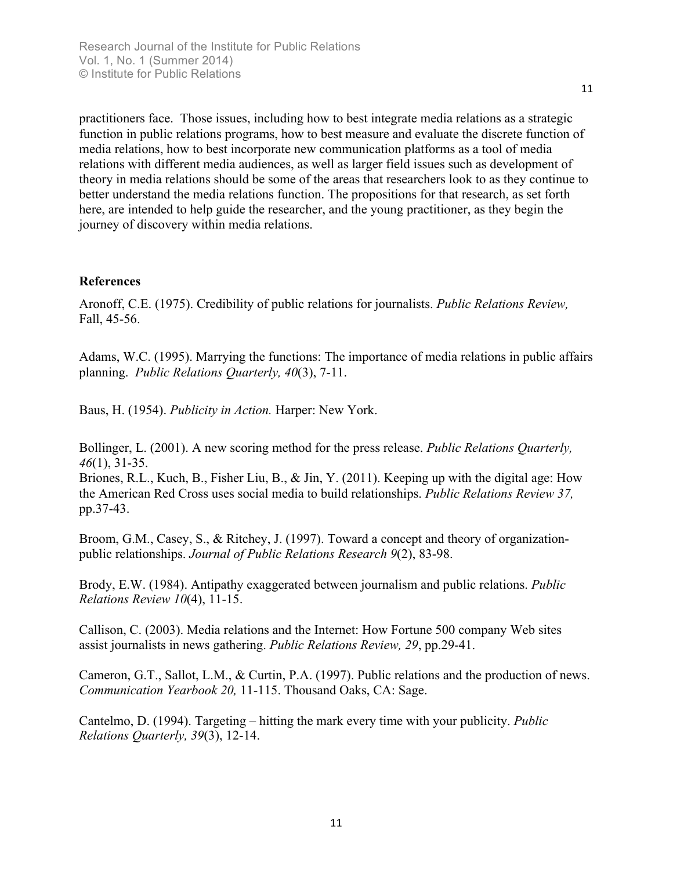practitioners face. Those issues, including how to best integrate media relations as a strategic function in public relations programs, how to best measure and evaluate the discrete function of media relations, how to best incorporate new communication platforms as a tool of media relations with different media audiences, as well as larger field issues such as development of theory in media relations should be some of the areas that researchers look to as they continue to better understand the media relations function. The propositions for that research, as set forth here, are intended to help guide the researcher, and the young practitioner, as they begin the journey of discovery within media relations.

#### **References**

Aronoff, C.E. (1975). Credibility of public relations for journalists. *Public Relations Review,*  Fall, 45-56.

Adams, W.C. (1995). Marrying the functions: The importance of media relations in public affairs planning. *Public Relations Quarterly, 40*(3), 7-11.

Baus, H. (1954). *Publicity in Action.* Harper: New York.

Bollinger, L. (2001). A new scoring method for the press release. *Public Relations Quarterly, 46*(1), 31-35.

Briones, R.L., Kuch, B., Fisher Liu, B., & Jin, Y. (2011). Keeping up with the digital age: How the American Red Cross uses social media to build relationships. *Public Relations Review 37,*  pp.37-43.

Broom, G.M., Casey, S., & Ritchey, J. (1997). Toward a concept and theory of organizationpublic relationships. *Journal of Public Relations Research 9*(2), 83-98.

Brody, E.W. (1984). Antipathy exaggerated between journalism and public relations. *Public Relations Review 10*(4), 11-15.

Callison, C. (2003). Media relations and the Internet: How Fortune 500 company Web sites assist journalists in news gathering. *Public Relations Review, 29*, pp.29-41.

Cameron, G.T., Sallot, L.M., & Curtin, P.A. (1997). Public relations and the production of news. *Communication Yearbook 20,* 11-115. Thousand Oaks, CA: Sage.

Cantelmo, D. (1994). Targeting – hitting the mark every time with your publicity. *Public Relations Quarterly, 39*(3), 12-14.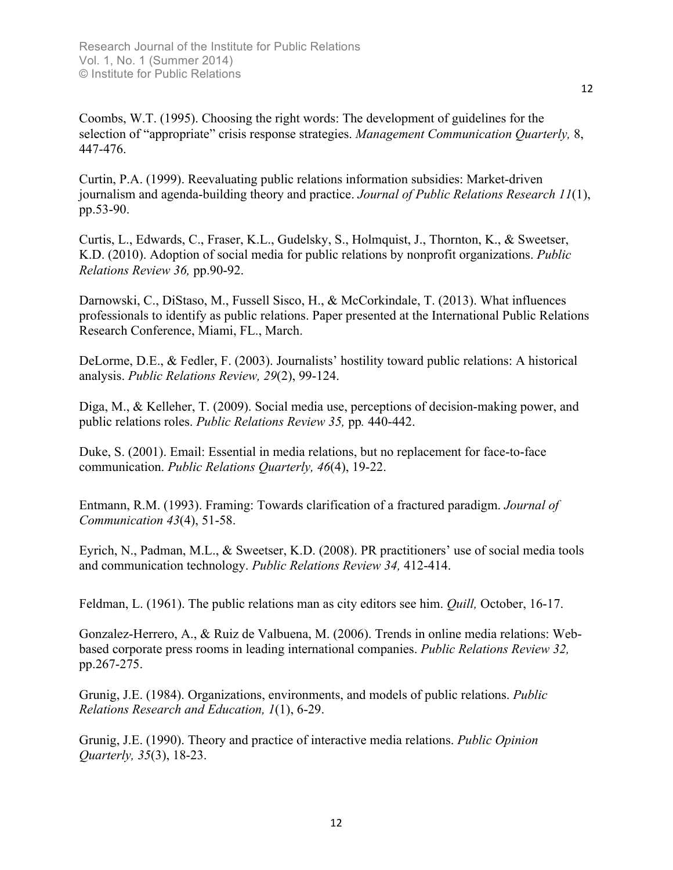Coombs, W.T. (1995). Choosing the right words: The development of guidelines for the selection of "appropriate" crisis response strategies. *Management Communication Quarterly,* 8, 447-476.

Curtin, P.A. (1999). Reevaluating public relations information subsidies: Market-driven journalism and agenda-building theory and practice. *Journal of Public Relations Research 11*(1), pp.53-90.

Curtis, L., Edwards, C., Fraser, K.L., Gudelsky, S., Holmquist, J., Thornton, K., & Sweetser, K.D. (2010). Adoption of social media for public relations by nonprofit organizations. *Public Relations Review 36,* pp.90-92.

Darnowski, C., DiStaso, M., Fussell Sisco, H., & McCorkindale, T. (2013). What influences professionals to identify as public relations. Paper presented at the International Public Relations Research Conference, Miami, FL., March.

DeLorme, D.E., & Fedler, F. (2003). Journalists' hostility toward public relations: A historical analysis. *Public Relations Review, 29*(2), 99-124.

Diga, M., & Kelleher, T. (2009). Social media use, perceptions of decision-making power, and public relations roles. *Public Relations Review 35,* pp*.* 440-442.

Duke, S. (2001). Email: Essential in media relations, but no replacement for face-to-face communication. *Public Relations Quarterly, 46*(4), 19-22.

Entmann, R.M. (1993). Framing: Towards clarification of a fractured paradigm. *Journal of Communication 43*(4), 51-58.

Eyrich, N., Padman, M.L., & Sweetser, K.D. (2008). PR practitioners' use of social media tools and communication technology. *Public Relations Review 34,* 412-414.

Feldman, L. (1961). The public relations man as city editors see him. *Quill,* October, 16-17.

Gonzalez-Herrero, A., & Ruiz de Valbuena, M. (2006). Trends in online media relations: Webbased corporate press rooms in leading international companies. *Public Relations Review 32,*  pp.267-275.

Grunig, J.E. (1984). Organizations, environments, and models of public relations. *Public Relations Research and Education, 1*(1), 6-29.

Grunig, J.E. (1990). Theory and practice of interactive media relations. *Public Opinion Quarterly, 35*(3), 18-23.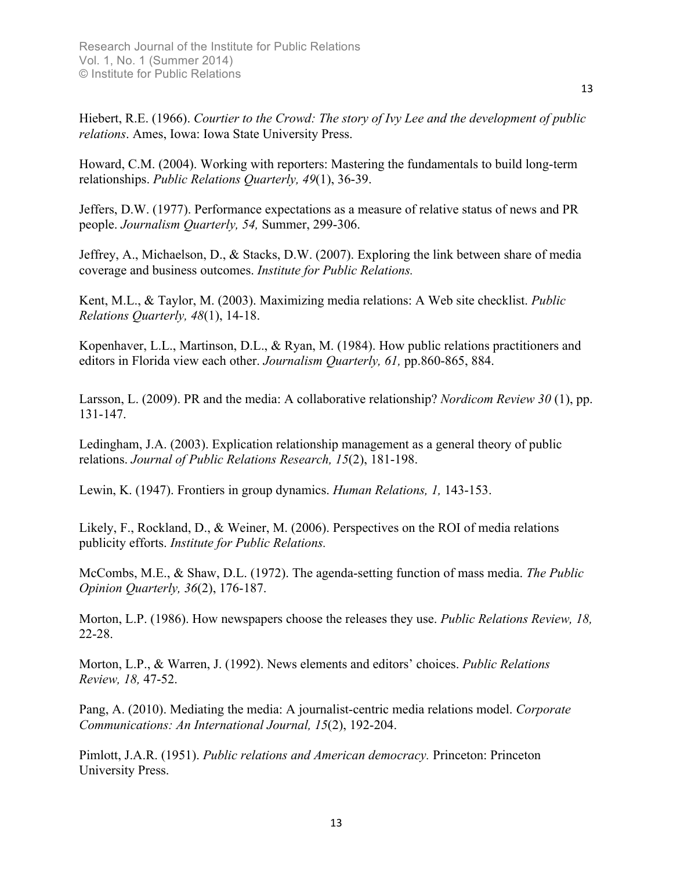Hiebert, R.E. (1966). *Courtier to the Crowd: The story of Ivy Lee and the development of public relations*. Ames, Iowa: Iowa State University Press.

Howard, C.M. (2004). Working with reporters: Mastering the fundamentals to build long-term relationships. *Public Relations Quarterly, 49*(1), 36-39.

Jeffers, D.W. (1977). Performance expectations as a measure of relative status of news and PR people. *Journalism Quarterly, 54,* Summer, 299-306.

Jeffrey, A., Michaelson, D., & Stacks, D.W. (2007). Exploring the link between share of media coverage and business outcomes. *Institute for Public Relations.*

Kent, M.L., & Taylor, M. (2003). Maximizing media relations: A Web site checklist. *Public Relations Quarterly, 48*(1), 14-18.

Kopenhaver, L.L., Martinson, D.L., & Ryan, M. (1984). How public relations practitioners and editors in Florida view each other. *Journalism Quarterly, 61,* pp.860-865, 884.

Larsson, L. (2009). PR and the media: A collaborative relationship? *Nordicom Review 30* (1), pp. 131-147.

Ledingham, J.A. (2003). Explication relationship management as a general theory of public relations. *Journal of Public Relations Research, 15*(2), 181-198.

Lewin, K. (1947). Frontiers in group dynamics. *Human Relations, 1,* 143-153.

Likely, F., Rockland, D., & Weiner, M. (2006). Perspectives on the ROI of media relations publicity efforts. *Institute for Public Relations.*

McCombs, M.E., & Shaw, D.L. (1972). The agenda-setting function of mass media. *The Public Opinion Quarterly, 36*(2), 176-187.

Morton, L.P. (1986). How newspapers choose the releases they use. *Public Relations Review, 18,*  22-28.

Morton, L.P., & Warren, J. (1992). News elements and editors' choices. *Public Relations Review, 18,* 47-52.

Pang, A. (2010). Mediating the media: A journalist-centric media relations model. *Corporate Communications: An International Journal, 15*(2), 192-204.

Pimlott, J.A.R. (1951). *Public relations and American democracy.* Princeton: Princeton University Press.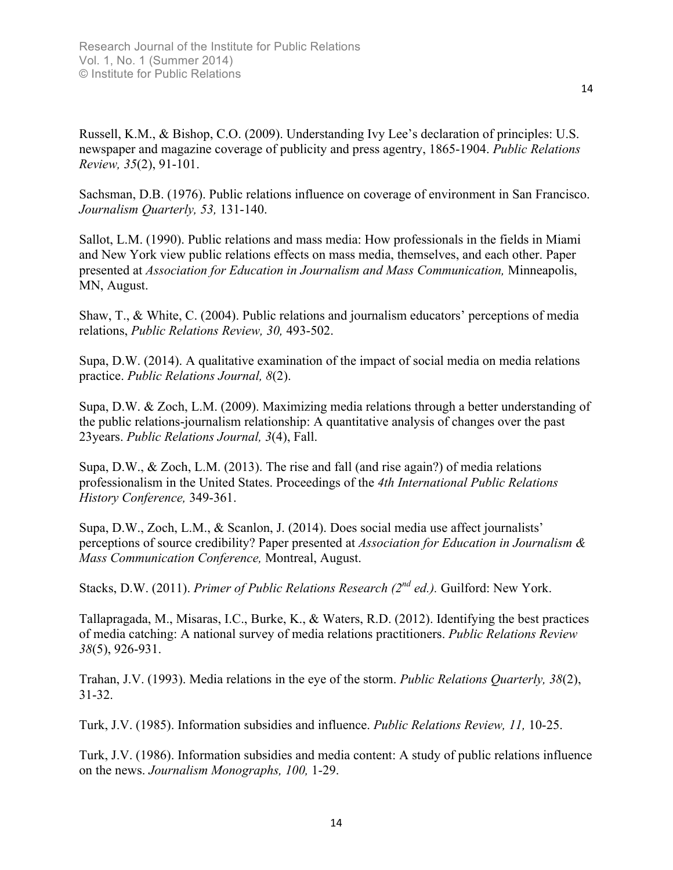Russell, K.M., & Bishop, C.O. (2009). Understanding Ivy Lee's declaration of principles: U.S. newspaper and magazine coverage of publicity and press agentry, 1865-1904. *Public Relations Review, 35*(2), 91-101.

Sachsman, D.B. (1976). Public relations influence on coverage of environment in San Francisco. *Journalism Quarterly, 53,* 131-140.

Sallot, L.M. (1990). Public relations and mass media: How professionals in the fields in Miami and New York view public relations effects on mass media, themselves, and each other. Paper presented at *Association for Education in Journalism and Mass Communication,* Minneapolis, MN, August.

Shaw, T., & White, C. (2004). Public relations and journalism educators' perceptions of media relations, *Public Relations Review, 30,* 493-502.

Supa, D.W. (2014). A qualitative examination of the impact of social media on media relations practice. *Public Relations Journal, 8*(2).

Supa, D.W. & Zoch, L.M. (2009). Maximizing media relations through a better understanding of the public relations-journalism relationship: A quantitative analysis of changes over the past 23years. *Public Relations Journal, 3*(4), Fall.

Supa, D.W., & Zoch, L.M. (2013). The rise and fall (and rise again?) of media relations professionalism in the United States. Proceedings of the *4th International Public Relations History Conference,* 349-361.

Supa, D.W., Zoch, L.M., & Scanlon, J. (2014). Does social media use affect journalists' perceptions of source credibility? Paper presented at *Association for Education in Journalism & Mass Communication Conference,* Montreal, August.

Stacks, D.W. (2011). *Primer of Public Relations Research (2nd ed.).* Guilford: New York.

Tallapragada, M., Misaras, I.C., Burke, K., & Waters, R.D. (2012). Identifying the best practices of media catching: A national survey of media relations practitioners. *Public Relations Review 38*(5), 926-931.

Trahan, J.V. (1993). Media relations in the eye of the storm. *Public Relations Quarterly, 38*(2), 31-32.

Turk, J.V. (1985). Information subsidies and influence. *Public Relations Review, 11,* 10-25.

Turk, J.V. (1986). Information subsidies and media content: A study of public relations influence on the news. *Journalism Monographs, 100,* 1-29.